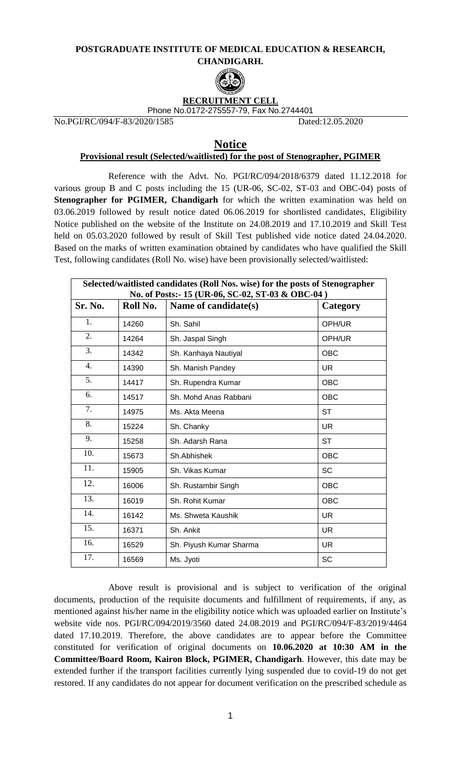## **POSTGRADUATE INSTITUTE OF MEDICAL EDUCATION & RESEARCH, CHANDIGARH.**



## **RECRUITMENT CELL** Phone No.0172-275557-79, Fax No.2744401

No.PGI/RC/094/F-83/2020/1585 Dated:12.05.2020

## **Notice**

## **Provisional result (Selected/waitlisted) for the post of Stenographer, PGIMER**

Reference with the Advt. No. PGI/RC/094/2018/6379 dated 11.12.2018 for various group B and C posts including the 15 (UR-06, SC-02, ST-03 and OBC-04) posts of **Stenographer for PGIMER, Chandigarh** for which the written examination was held on 03.06.2019 followed by result notice dated 06.06.2019 for shortlisted candidates, Eligibility Notice published on the website of the Institute on 24.08.2019 and 17.10.2019 and Skill Test held on 05.03.2020 followed by result of Skill Test published vide notice dated 24.04.2020. Based on the marks of written examination obtained by candidates who have qualified the Skill Test, following candidates (Roll No. wise) have been provisionally selected/waitlisted:

| Selected/waitlisted candidates (Roll Nos. wise) for the posts of Stenographer<br>No. of Posts:-15 (UR-06, SC-02, ST-03 & OBC-04) |          |                         |            |
|----------------------------------------------------------------------------------------------------------------------------------|----------|-------------------------|------------|
| Sr. No.                                                                                                                          | Roll No. | Name of candidate(s)    | Category   |
| 1.                                                                                                                               | 14260    | Sh. Sahil               | OPH/UR     |
| 2.                                                                                                                               | 14264    | Sh. Jaspal Singh        | OPH/UR     |
| 3.                                                                                                                               | 14342    | Sh. Kanhaya Nautiyal    | <b>OBC</b> |
| 4.                                                                                                                               | 14390    | Sh. Manish Pandey       | UR.        |
| 5.                                                                                                                               | 14417    | Sh. Rupendra Kumar      | <b>OBC</b> |
| 6.                                                                                                                               | 14517    | Sh. Mohd Anas Rabbani   | <b>OBC</b> |
| 7.                                                                                                                               | 14975    | Ms. Akta Meena          | <b>ST</b>  |
| 8.                                                                                                                               | 15224    | Sh. Chanky              | UR.        |
| 9.                                                                                                                               | 15258    | Sh. Adarsh Rana         | <b>ST</b>  |
| 10.                                                                                                                              | 15673    | Sh. Abhishek            | <b>OBC</b> |
| 11.                                                                                                                              | 15905    | Sh. Vikas Kumar         | <b>SC</b>  |
| 12.                                                                                                                              | 16006    | Sh. Rustambir Singh     | <b>OBC</b> |
| 13.                                                                                                                              | 16019    | Sh. Rohit Kumar         | <b>OBC</b> |
| 14.                                                                                                                              | 16142    | Ms. Shweta Kaushik      | <b>UR</b>  |
| 15.                                                                                                                              | 16371    | Sh. Ankit               | UR.        |
| 16.                                                                                                                              | 16529    | Sh. Piyush Kumar Sharma | <b>UR</b>  |
| 17.                                                                                                                              | 16569    | Ms. Jyoti               | <b>SC</b>  |

Above result is provisional and is subject to verification of the original documents, production of the requisite documents and fulfillment of requirements, if any, as mentioned against his/her name in the eligibility notice which was uploaded earlier on Institute's website vide nos. PGI/RC/094/2019/3560 dated 24.08.2019 and PGI/RC/094/F-83/2019/4464 dated 17.10.2019. Therefore, the above candidates are to appear before the Committee constituted for verification of original documents on **10.06.2020 at 10:30 AM in the Committee/Board Room, Kairon Block, PGIMER, Chandigarh**. However, this date may be extended further if the transport facilities currently lying suspended due to covid-19 do not get restored. If any candidates do not appear for document verification on the prescribed schedule as